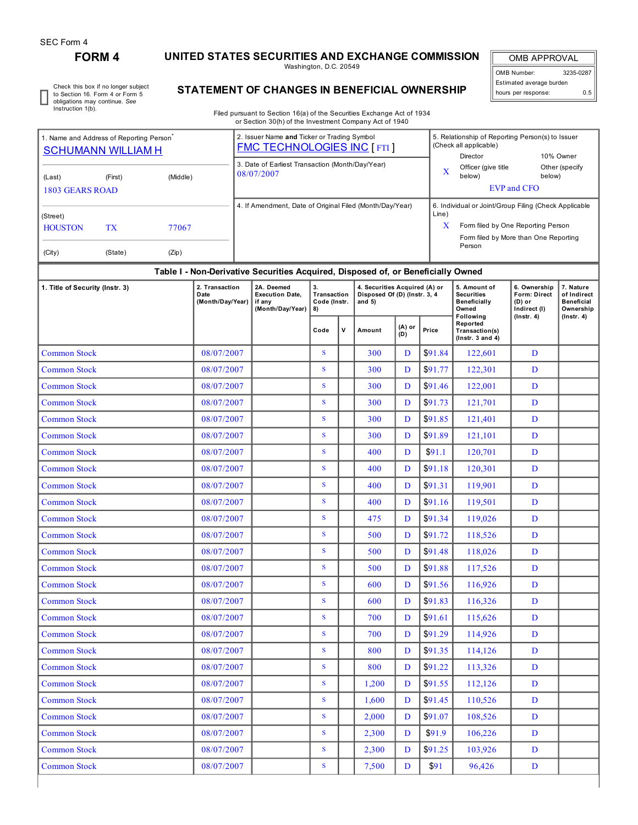# **FORM 4 UNITED STATES SECURITIES AND EXCHANGE COMMISSION**

Washington, D.C. 20549

OMB APPROVAL OMB Number: 3235-0287 Estimated average burden hours per response: 0.5

Check this box if no longer subject to Section 16. Form 4 or Form 5 obligations may continue. *See* Instruction 1(b).

## **STATEMENT OF CHANGES IN BENEFICIAL OWNERSHIP**

Filed pursuant to Section 16(a) of the Securities Exchange Act of 1934 or Section 30(h) of the Investment Company Act of 1940

| 1. Name and Address of Reporting Person <sup>®</sup>                             | <b>SCHUMANN WILLIAM H</b> |                | 2. Issuer Name and Ticker or Trading Symbol<br><b>FMC TECHNOLOGIES INC [FTI]</b> |            | 5. Relationship of Reporting Person(s) to Issuer<br>(Check all applicable)<br>10% Owner<br>Director                                            |                          |  |  |  |  |
|----------------------------------------------------------------------------------|---------------------------|----------------|----------------------------------------------------------------------------------|------------|------------------------------------------------------------------------------------------------------------------------------------------------|--------------------------|--|--|--|--|
| (Last)<br>1803 GEARS ROAD                                                        | (First)                   | (Middle)       | 3. Date of Earliest Transaction (Month/Day/Year)<br>08/07/2007                   | X          | Officer (give title<br>below)<br><b>EVP</b> and CFO                                                                                            | Other (specify<br>below) |  |  |  |  |
| (Street)<br><b>HOUSTON</b><br>(City)                                             | TX<br>(State)             | 77067<br>(Zip) | 4. If Amendment, Date of Original Filed (Month/Day/Year)                         | Line)<br>X | 6. Individual or Joint/Group Filing (Check Applicable<br>Form filed by One Reporting Person<br>Form filed by More than One Reporting<br>Person |                          |  |  |  |  |
| Table I - Non-Derivative Securities Acquired, Disposed of, or Beneficially Owned |                           |                |                                                                                  |            |                                                                                                                                                |                          |  |  |  |  |

### **Table I - Non-Derivative Securities Acquired, Disposed of, or Beneficially Owned**

| 1. Title of Security (Instr. 3) | 2. Transaction<br>Date<br>(Month/Day/Year) | 2A. Deemed<br><b>Execution Date.</b><br>if any<br>(Month/Day/Year) | 3.<br>Transaction<br>Code (Instr.<br>8) |              | 4. Securities Acquired (A) or<br>Disposed Of (D) (Instr. 3, 4<br>and $5)$ |               |         | 5. Amount of<br><b>Securities</b><br>Beneficially<br>Owned<br>Following | 6. Ownership<br><b>Form: Direct</b><br>$(D)$ or<br>Indirect (I)<br>$($ lnstr. 4 $)$ | 7. Nature<br>of Indirect<br><b>Beneficial</b><br>Ownership<br>$($ Instr. 4 $)$ |  |
|---------------------------------|--------------------------------------------|--------------------------------------------------------------------|-----------------------------------------|--------------|---------------------------------------------------------------------------|---------------|---------|-------------------------------------------------------------------------|-------------------------------------------------------------------------------------|--------------------------------------------------------------------------------|--|
|                                 |                                            |                                                                    | Code                                    | $\mathsf{v}$ | Amount                                                                    | (A) or<br>(D) | Price   | Reported<br>Transaction(s)<br>( $lnstr. 3 and 4$ )                      |                                                                                     |                                                                                |  |
| <b>Common Stock</b>             | 08/07/2007                                 |                                                                    | S                                       |              | 300                                                                       | D             | \$91.84 | 122,601                                                                 | D                                                                                   |                                                                                |  |
| <b>Common Stock</b>             | 08/07/2007                                 |                                                                    | S                                       |              | 300                                                                       | D             | \$91.77 | 122,301                                                                 | D                                                                                   |                                                                                |  |
| <b>Common Stock</b>             | 08/07/2007                                 |                                                                    | S                                       |              | 300                                                                       | D             | \$91.46 | 122,001                                                                 | D                                                                                   |                                                                                |  |
| <b>Common Stock</b>             | 08/07/2007                                 |                                                                    | S                                       |              | 300                                                                       | D             | \$91.73 | 121,701                                                                 | D                                                                                   |                                                                                |  |
| <b>Common Stock</b>             | 08/07/2007                                 |                                                                    | $\mathbf S$                             |              | 300                                                                       | D             | \$91.85 | 121,401                                                                 | D                                                                                   |                                                                                |  |
| <b>Common Stock</b>             | 08/07/2007                                 |                                                                    | S                                       |              | 300                                                                       | D             | \$91.89 | 121,101                                                                 | D                                                                                   |                                                                                |  |
| <b>Common Stock</b>             | 08/07/2007                                 |                                                                    | S                                       |              | 400                                                                       | D             | \$91.1  | 120,701                                                                 | D                                                                                   |                                                                                |  |
| <b>Common Stock</b>             | 08/07/2007                                 |                                                                    | $\mathbf{s}$                            |              | 400                                                                       | D             | \$91.18 | 120,301                                                                 | D                                                                                   |                                                                                |  |
| <b>Common Stock</b>             | 08/07/2007                                 |                                                                    | $\mathbf{s}$                            |              | 400                                                                       | D             | \$91.31 | 119,901                                                                 | D                                                                                   |                                                                                |  |
| <b>Common Stock</b>             | 08/07/2007                                 |                                                                    | $\mathbf S$                             |              | 400                                                                       | D             | \$91.16 | 119,501                                                                 | D                                                                                   |                                                                                |  |
| <b>Common Stock</b>             | 08/07/2007                                 |                                                                    | S                                       |              | 475                                                                       | D             | \$91.34 | 119,026                                                                 | D                                                                                   |                                                                                |  |
| <b>Common Stock</b>             | 08/07/2007                                 |                                                                    | S                                       |              | 500                                                                       | D             | \$91.72 | 118,526                                                                 | D                                                                                   |                                                                                |  |
| <b>Common Stock</b>             | 08/07/2007                                 |                                                                    | S                                       |              | 500                                                                       | D             | \$91.48 | 118,026                                                                 | D                                                                                   |                                                                                |  |
| <b>Common Stock</b>             | 08/07/2007                                 |                                                                    | S                                       |              | 500                                                                       | D             | \$91.88 | 117,526                                                                 | D                                                                                   |                                                                                |  |
| <b>Common Stock</b>             | 08/07/2007                                 |                                                                    | S                                       |              | 600                                                                       | D             | \$91.56 | 116,926                                                                 | D                                                                                   |                                                                                |  |
| <b>Common Stock</b>             | 08/07/2007                                 |                                                                    | S                                       |              | 600                                                                       | D             | \$91.83 | 116,326                                                                 | D                                                                                   |                                                                                |  |
| <b>Common Stock</b>             | 08/07/2007                                 |                                                                    | $\mathbf{s}$                            |              | 700                                                                       | D             | \$91.61 | 115,626                                                                 | D                                                                                   |                                                                                |  |
| <b>Common Stock</b>             | 08/07/2007                                 |                                                                    | S                                       |              | 700                                                                       | D             | \$91.29 | 114,926                                                                 | D                                                                                   |                                                                                |  |
| <b>Common Stock</b>             | 08/07/2007                                 |                                                                    | S                                       |              | 800                                                                       | D             | \$91.35 | 114,126                                                                 | D                                                                                   |                                                                                |  |
| <b>Common Stock</b>             | 08/07/2007                                 |                                                                    | S                                       |              | 800                                                                       | D             | \$91.22 | 113,326                                                                 | D                                                                                   |                                                                                |  |
| <b>Common Stock</b>             | 08/07/2007                                 |                                                                    | S                                       |              | 1,200                                                                     | D             | \$91.55 | 112,126                                                                 | D                                                                                   |                                                                                |  |
| <b>Common Stock</b>             | 08/07/2007                                 |                                                                    | S                                       |              | 1.600                                                                     | D             | \$91.45 | 110,526                                                                 | D                                                                                   |                                                                                |  |
| <b>Common Stock</b>             | 08/07/2007                                 |                                                                    | $\mathbf S$                             |              | 2,000                                                                     | D             | \$91.07 | 108,526                                                                 | D                                                                                   |                                                                                |  |
| <b>Common Stock</b>             | 08/07/2007                                 |                                                                    | $\mathbf{s}$                            |              | 2,300                                                                     | D             | \$91.9  | 106,226                                                                 | D                                                                                   |                                                                                |  |
| <b>Common Stock</b>             | 08/07/2007                                 |                                                                    | S                                       |              | 2,300                                                                     | D             | \$91.25 | 103,926                                                                 | D                                                                                   |                                                                                |  |
| <b>Common Stock</b>             | 08/07/2007                                 |                                                                    | S                                       |              | 7,500                                                                     | D             | \$91    | 96,426                                                                  | D                                                                                   |                                                                                |  |